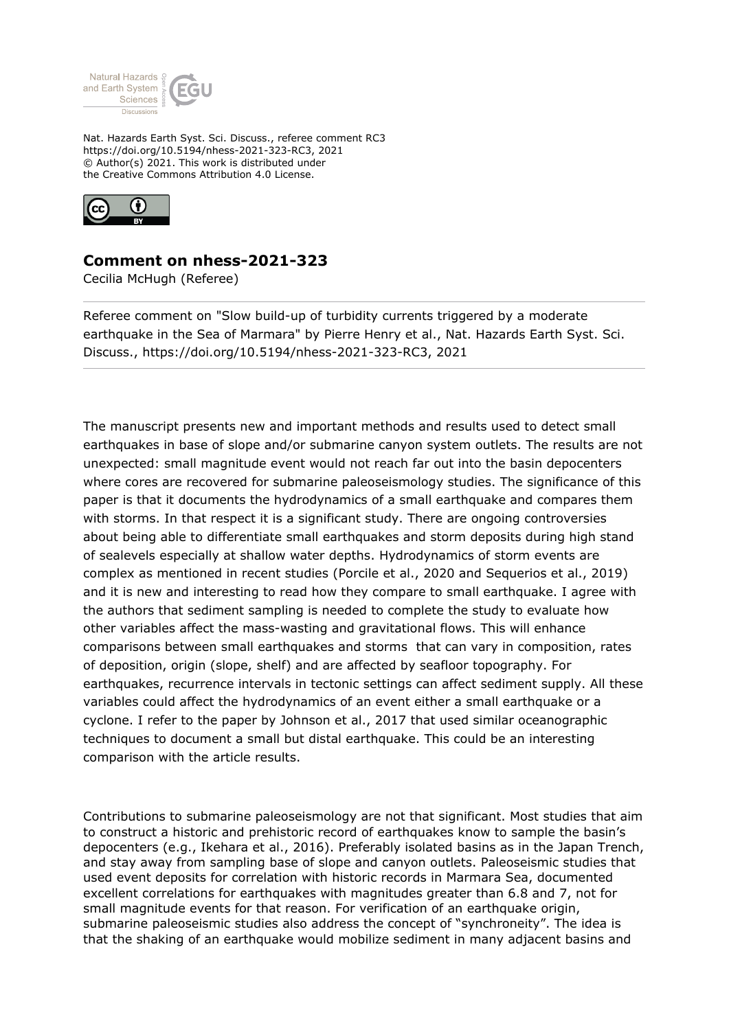

Nat. Hazards Earth Syst. Sci. Discuss., referee comment RC3 https://doi.org/10.5194/nhess-2021-323-RC3, 2021 © Author(s) 2021. This work is distributed under the Creative Commons Attribution 4.0 License.



## **Comment on nhess-2021-323**

Cecilia McHugh (Referee)

Referee comment on "Slow build-up of turbidity currents triggered by a moderate earthquake in the Sea of Marmara" by Pierre Henry et al., Nat. Hazards Earth Syst. Sci. Discuss., https://doi.org/10.5194/nhess-2021-323-RC3, 2021

The manuscript presents new and important methods and results used to detect small earthquakes in base of slope and/or submarine canyon system outlets. The results are not unexpected: small magnitude event would not reach far out into the basin depocenters where cores are recovered for submarine paleoseismology studies. The significance of this paper is that it documents the hydrodynamics of a small earthquake and compares them with storms. In that respect it is a significant study. There are ongoing controversies about being able to differentiate small earthquakes and storm deposits during high stand of sealevels especially at shallow water depths. Hydrodynamics of storm events are complex as mentioned in recent studies (Porcile et al., 2020 and Sequerios et al., 2019) and it is new and interesting to read how they compare to small earthquake. I agree with the authors that sediment sampling is needed to complete the study to evaluate how other variables affect the mass-wasting and gravitational flows. This will enhance comparisons between small earthquakes and storms that can vary in composition, rates of deposition, origin (slope, shelf) and are affected by seafloor topography. For earthquakes, recurrence intervals in tectonic settings can affect sediment supply. All these variables could affect the hydrodynamics of an event either a small earthquake or a cyclone. I refer to the paper by Johnson et al., 2017 that used similar oceanographic techniques to document a small but distal earthquake. This could be an interesting comparison with the article results.

Contributions to submarine paleoseismology are not that significant. Most studies that aim to construct a historic and prehistoric record of earthquakes know to sample the basin's depocenters (e.g., Ikehara et al., 2016). Preferably isolated basins as in the Japan Trench, and stay away from sampling base of slope and canyon outlets. Paleoseismic studies that used event deposits for correlation with historic records in Marmara Sea, documented excellent correlations for earthquakes with magnitudes greater than 6.8 and 7, not for small magnitude events for that reason. For verification of an earthquake origin, submarine paleoseismic studies also address the concept of "synchroneity". The idea is that the shaking of an earthquake would mobilize sediment in many adjacent basins and